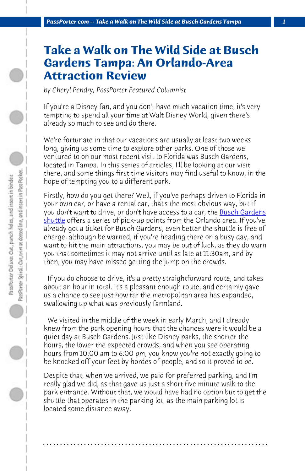*PassPorter.com -- Take a Walk on The Wild Side at Busch Gardens Tampa 1*

## **Take a Walk on The Wild Side at Busch Gardens Tampa: An Orlando-Area [Attr](https://secure.mearstransportation.com/MearsExpress/BuschGardens.asp)action Review**

*by Cheryl Pendry, PassPorter Featured Columnist*

If you're a Disney fan, and you don't have much vacation time, it's very tempting to spend all your time at Walt Disney World, given there's already so much to see and do there.

We're fortunate in that our vacations are usually at least two weeks long, giving us some time to explore other parks. One of those we ventured to on our most recent visit to Florida was Busch Gardens, located in Tampa. In this series of articles, I'll be looking at our visit there, and some things first time visitors may find useful to know, in the hope of tempting you to a different park.

Firstly, how do you get there? Well, if you've perhaps driven to Florida in your own car, or have a rental car, that's the most obvious way, but if you don't want to drive, or don't have access to a car, the **Busch Gardens** shuttle offers a series of pick-up points from the Orlando area. If you've already got a ticket for Busch Gardens, even better the shuttle is free of charge, although be warned, if you're heading there on a busy day, and want to hit the main attractions, you may be out of luck, as they do warn you that sometimes it may not arrive until as late at 11:30am, and by then, you may have missed getting the jump on the crowds.

 If you do choose to drive, it's a pretty straightforward route, and takes about an hour in total. It's a pleasant enough route, and certainly gave us a chance to see just how far the metropolitan area has expanded, swallowing up what was previously farmland.

 We visited in the middle of the week in early March, and I already knew from the park opening hours that the chances were it would be a quiet day at Busch Gardens. Just like Disney parks, the shorter the hours, the lower the expected crowds, and when you see operating hours from 10:00 am to 6:00 pm, you know you're not exactly going to be knocked off your feet by hordes of people, and so it proved to be.

Despite that, when we arrived, we paid for preferred parking, and I'm really glad we did, as that gave us just a short five minute walk to the park entrance. Without that, we would have had no option but to get the shuttle that operates in the parking lot, as the main parking lot is located some distance away.

**. . . . . . . . . . . . . . . . . . . . . . . . . . . . . . . . . . . . . . . . . . . . . . . . . . . . . . . . . . . . . . . . . .**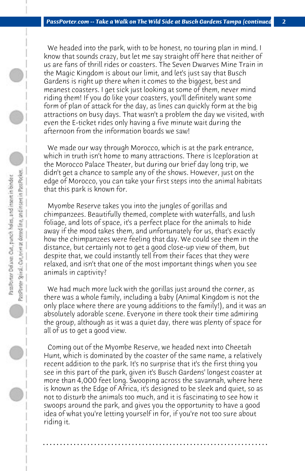We headed into the park, with to be honest, no touring plan in mind. I know that sounds crazy, but let me say straight off here that neither of us are fans of thrill rides or coasters. The Seven Dwarves Mine Train in the Magic Kingdom is about our limit, and let's just say that Busch Gardens is right up there when it comes to the biggest, best and meanest coasters. I get sick just looking at some of them, never mind riding them! If you do like your coasters, you'll definitely want some form of plan of attack for the day, as lines can quickly form at the big attractions on busy days. That wasn't a problem the day we visited, with even the E-ticket rides only having a five minute wait during the afternoon from the information boards we saw!

 We made our way through Morocco, which is at the park entrance, which in truth isn't home to many attractions. There is Iceploration at the Morocco Palace Theater, but during our brief day long trip, we didn't get a chance to sample any of the shows. However, just on the edge of Morocco, you can take your first steps into the animal habitats that this park is known for.

 Myombe Reserve takes you into the jungles of gorillas and chimpanzees. Beautifully themed, complete with waterfalls, and lush foliage, and lots of space, it's a perfect place for the animals to hide away if the mood takes them, and unfortunately for us, that's exactly how the chimpanzees were feeling that day. We could see them in the distance, but certainly not to get a good close-up view of them, but despite that, we could instantly tell from their faces that they were relaxed, and isn't that one of the most important things when you see animals in captivity?

 We had much more luck with the gorillas just around the corner, as there was a whole family, including a baby (Animal Kingdom is not the only place where there are young additions to the family!), and it was an absolutely adorable scene. Everyone in there took their time admiring the group, although as it was a quiet day, there was plenty of space for all of us to get a good view.

 Coming out of the Myombe Reserve, we headed next into Cheetah Hunt, which is dominated by the coaster of the same name, a relatively recent addition to the park. It's no surprise that it's the first thing you see in this part of the park, given it's Busch Gardens' longest coaster at more than 4,000 feet long. Swooping across the savannah, where here is known as the Edge of Africa, it's designed to be sleek and quiet, so as not to disturb the animals too much, and it is fascinating to see how it swoops around the park, and gives you the opportunity to have a good idea of what you're letting yourself in for, if you're not too sure about riding it.

**. . . . . . . . . . . . . . . . . . . . . . . . . . . . . . . . . . . . . . . . . . . . . . . . . . . . . . . . . . . . . . . . . .**